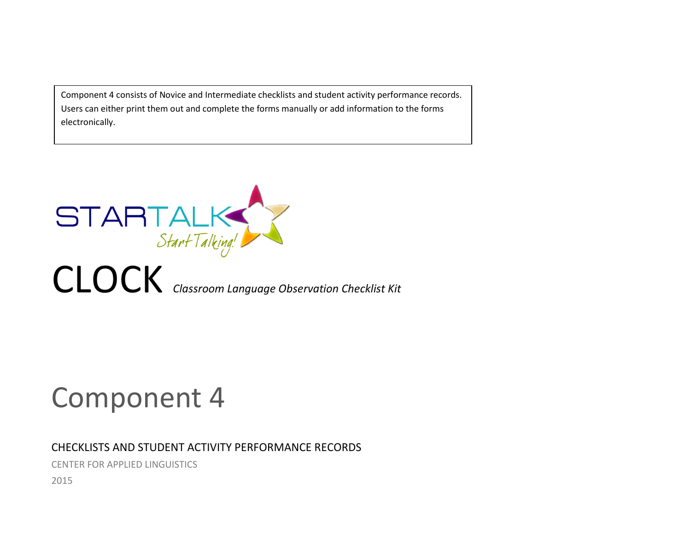Component 4 consists of Novice and Intermediate checklists and student activity performance records. Users can either print them out and complete the forms manually or add information to the forms electronically.



# Component 4

## CHECKLISTS AND STUDENT ACTIVITY PERFORMANCE RECORDS

CENTER FOR APPLIED LINGUISTICS

2015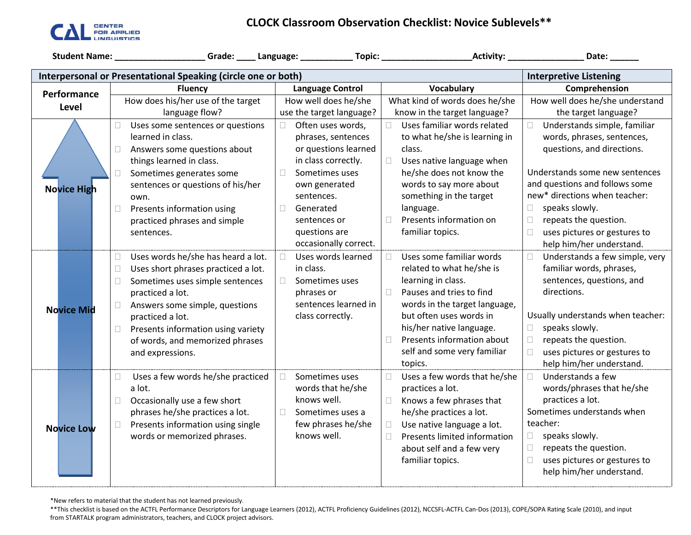

## **CLOCK Classroom Observation Checklist: Novice Sublevels\*\***

|                                                                                                |                                                                                                                                                                                                                                                                                                                              |                                                                                                                                                                                          |                                                                                                                                                                                                                                                                              | Date:                                                                                                                                                                                                                                                                                      |  |  |  |
|------------------------------------------------------------------------------------------------|------------------------------------------------------------------------------------------------------------------------------------------------------------------------------------------------------------------------------------------------------------------------------------------------------------------------------|------------------------------------------------------------------------------------------------------------------------------------------------------------------------------------------|------------------------------------------------------------------------------------------------------------------------------------------------------------------------------------------------------------------------------------------------------------------------------|--------------------------------------------------------------------------------------------------------------------------------------------------------------------------------------------------------------------------------------------------------------------------------------------|--|--|--|
| Interpersonal or Presentational Speaking (circle one or both)<br><b>Interpretive Listening</b> |                                                                                                                                                                                                                                                                                                                              |                                                                                                                                                                                          |                                                                                                                                                                                                                                                                              |                                                                                                                                                                                                                                                                                            |  |  |  |
| <b>Fluency</b><br>Performance                                                                  |                                                                                                                                                                                                                                                                                                                              | <b>Language Control</b>                                                                                                                                                                  | Vocabulary                                                                                                                                                                                                                                                                   | Comprehension                                                                                                                                                                                                                                                                              |  |  |  |
|                                                                                                | How does his/her use of the target                                                                                                                                                                                                                                                                                           | How well does he/she                                                                                                                                                                     | What kind of words does he/she                                                                                                                                                                                                                                               | How well does he/she understand                                                                                                                                                                                                                                                            |  |  |  |
| Level                                                                                          | language flow?                                                                                                                                                                                                                                                                                                               | use the target language?                                                                                                                                                                 | know in the target language?                                                                                                                                                                                                                                                 | the target language?                                                                                                                                                                                                                                                                       |  |  |  |
| <b>Novice High</b>                                                                             | Uses some sentences or questions<br>0<br>learned in class.<br>Answers some questions about<br>□<br>things learned in class.<br>Sometimes generates some<br>$\Box$<br>sentences or questions of his/her<br>own.<br>$\Box$<br>Presents information using<br>practiced phrases and simple                                       | Often uses words,<br>phrases, sentences<br>or questions learned<br>in class correctly.<br>Sometimes uses<br>$\Box$<br>own generated<br>sentences.<br>$\Box$<br>Generated<br>sentences or | Uses familiar words related<br>to what he/she is learning in<br>class.<br>Uses native language when<br>П<br>he/she does not know the<br>words to say more about<br>something in the target<br>language.<br>Presents information on<br>П                                      | Understands simple, familiar<br>П.<br>words, phrases, sentences,<br>questions, and directions.<br>Understands some new sentences<br>and questions and follows some<br>new* directions when teacher:<br>speaks slowly.<br>$\Box$<br>$\Box$<br>repeats the question.                         |  |  |  |
|                                                                                                | sentences.                                                                                                                                                                                                                                                                                                                   | questions are<br>occasionally correct.                                                                                                                                                   | familiar topics.                                                                                                                                                                                                                                                             | uses pictures or gestures to<br>П.<br>help him/her understand.                                                                                                                                                                                                                             |  |  |  |
| <b>Novice Mid</b>                                                                              | Uses words he/she has heard a lot.<br>П.<br>Uses short phrases practiced a lot.<br>$\Box$<br>$\Box$<br>Sometimes uses simple sentences<br>practiced a lot.<br>Answers some simple, questions<br>$\Box$<br>practiced a lot.<br>Presents information using variety<br>0<br>of words, and memorized phrases<br>and expressions. | Uses words learned<br>$\Box$<br>in class.<br>Sometimes uses<br>П<br>phrases or<br>sentences learned in<br>class correctly.                                                               | Uses some familiar words<br>related to what he/she is<br>learning in class.<br>Pauses and tries to find<br>П<br>words in the target language,<br>but often uses words in<br>his/her native language.<br>Presents information about<br>self and some very familiar<br>topics. | Understands a few simple, very<br>$\Box$<br>familiar words, phrases,<br>sentences, questions, and<br>directions.<br>Usually understands when teacher:<br>speaks slowly.<br>$\Box$<br>repeats the question.<br>$\Box$<br>uses pictures or gestures to<br>$\Box$<br>help him/her understand. |  |  |  |
| <b>Novice Low</b>                                                                              | Uses a few words he/she practiced<br>$\Box$<br>a lot.<br>Occasionally use a few short<br>$\Box$<br>phrases he/she practices a lot.<br>Presents information using single<br>$\Box$<br>words or memorized phrases.                                                                                                             | П<br>Sometimes uses<br>words that he/she<br>knows well.<br>$\Box$<br>Sometimes uses a<br>few phrases he/she<br>knows well.                                                               | Uses a few words that he/she<br>practices a lot.<br>$\Box$<br>Knows a few phrases that<br>he/she practices a lot.<br>Use native language a lot.<br>$\Box$<br>Presents limited information<br>about self and a few very<br>familiar topics.                                   | Understands a few<br>$\Box$<br>words/phrases that he/she<br>practices a lot.<br>Sometimes understands when<br>teacher:<br>speaks slowly.<br>$\Box$<br>repeats the question.<br>$\Box$<br>uses pictures or gestures to<br>$\Box$<br>help him/her understand.                                |  |  |  |

\*New refers to material that the student has not learned previously.

\*\*This checklist is based on the ACTFL Performance Descriptors for Language Learners (2012), ACTFL Proficiency Guidelines (2012), NCCSFL-ACTFL Can-Dos (2013), COPE/SOPA Rating Scale (2010), and input from STARTALK program administrators, teachers, and CLOCK project advisors.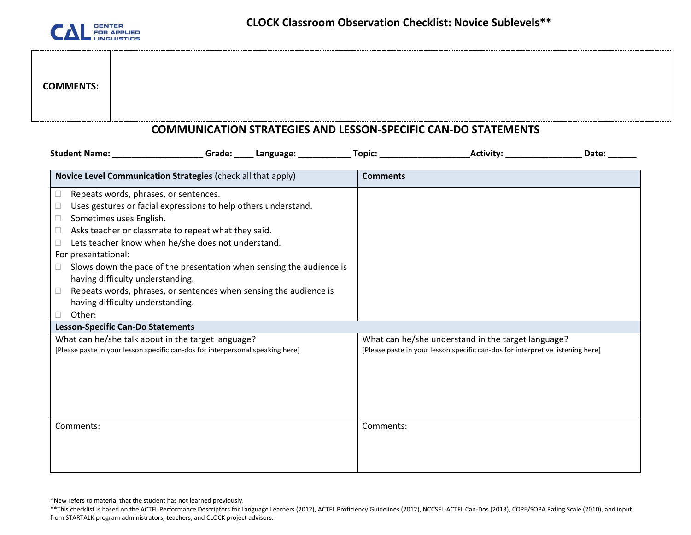

# **COMMENTS:**

#### **COMMUNICATION STRATEGIES AND LESSON-SPECIFIC CAN-DO STATEMENTS**

| Grade: _____ Language: ___________<br>Student Name: Names                      | Activity: Activity:<br>Topic: <u>with the second second</u> and second second second second second second second second second second second second second second second second second second second second second second second second second second seco<br>Date: |
|--------------------------------------------------------------------------------|---------------------------------------------------------------------------------------------------------------------------------------------------------------------------------------------------------------------------------------------------------------------|
| Novice Level Communication Strategies (check all that apply)                   | <b>Comments</b>                                                                                                                                                                                                                                                     |
| Repeats words, phrases, or sentences.<br>Ш                                     |                                                                                                                                                                                                                                                                     |
| Uses gestures or facial expressions to help others understand.                 |                                                                                                                                                                                                                                                                     |
| Sometimes uses English.<br>$\Box$                                              |                                                                                                                                                                                                                                                                     |
| Asks teacher or classmate to repeat what they said.<br>$\Box$                  |                                                                                                                                                                                                                                                                     |
| Lets teacher know when he/she does not understand.                             |                                                                                                                                                                                                                                                                     |
| For presentational:                                                            |                                                                                                                                                                                                                                                                     |
| Slows down the pace of the presentation when sensing the audience is<br>$\Box$ |                                                                                                                                                                                                                                                                     |
| having difficulty understanding.                                               |                                                                                                                                                                                                                                                                     |
| Repeats words, phrases, or sentences when sensing the audience is<br>$\Box$    |                                                                                                                                                                                                                                                                     |
| having difficulty understanding.                                               |                                                                                                                                                                                                                                                                     |
| Other:                                                                         |                                                                                                                                                                                                                                                                     |
| <b>Lesson-Specific Can-Do Statements</b>                                       |                                                                                                                                                                                                                                                                     |
| What can he/she talk about in the target language?                             | What can he/she understand in the target language?                                                                                                                                                                                                                  |
| [Please paste in your lesson specific can-dos for interpersonal speaking here] | [Please paste in your lesson specific can-dos for interpretive listening here]                                                                                                                                                                                      |
|                                                                                |                                                                                                                                                                                                                                                                     |
|                                                                                |                                                                                                                                                                                                                                                                     |
|                                                                                |                                                                                                                                                                                                                                                                     |
|                                                                                |                                                                                                                                                                                                                                                                     |
|                                                                                |                                                                                                                                                                                                                                                                     |
| Comments:                                                                      | Comments:                                                                                                                                                                                                                                                           |
|                                                                                |                                                                                                                                                                                                                                                                     |
|                                                                                |                                                                                                                                                                                                                                                                     |
|                                                                                |                                                                                                                                                                                                                                                                     |

\*New refers to material that the student has not learned previously.

<sup>\*\*</sup>This checklist is based on the ACTFL Performance Descriptors for Language Learners (2012), ACTFL Proficiency Guidelines (2012), NCCSFL-ACTFL Can-Dos (2013), COPE/SOPA Rating Scale (2010), and input from STARTALK program administrators, teachers, and CLOCK project advisors.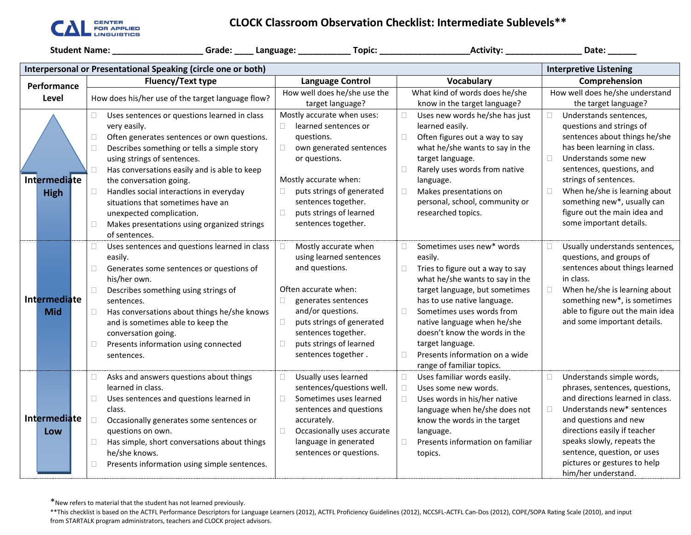

## **CLOCK Classroom Observation Checklist: Intermediate Sublevels\*\***

|                                                                                                |                                                         |                                      |                                       | Date: ______                            |  |  |  |
|------------------------------------------------------------------------------------------------|---------------------------------------------------------|--------------------------------------|---------------------------------------|-----------------------------------------|--|--|--|
| Interpersonal or Presentational Speaking (circle one or both)<br><b>Interpretive Listening</b> |                                                         |                                      |                                       |                                         |  |  |  |
| Performance                                                                                    | <b>Fluency/Text type</b>                                | <b>Language Control</b>              | Comprehension                         |                                         |  |  |  |
| Level                                                                                          | How does his/her use of the target language flow?       | How well does he/she use the         | What kind of words does he/she        | How well does he/she understand         |  |  |  |
|                                                                                                |                                                         | target language?                     | know in the target language?          | the target language?                    |  |  |  |
|                                                                                                | Uses sentences or questions learned in class<br>П.      | Mostly accurate when uses:           | Uses new words he/she has just<br>П   | Understands sentences,                  |  |  |  |
|                                                                                                | very easily.                                            | learned sentences or<br>$\Box$       | learned easily.                       | questions and strings of                |  |  |  |
|                                                                                                | Often generates sentences or own questions.<br>□        | questions.                           | Often figures out a way to say<br>П   | sentences about things he/she           |  |  |  |
|                                                                                                | Describes something or tells a simple story<br>□        | $\Box$<br>own generated sentences    | what he/she wants to say in the       | has been learning in class.             |  |  |  |
|                                                                                                | using strings of sentences.                             | or questions.                        | target language.                      | $\Box$<br>Understands some new          |  |  |  |
|                                                                                                | Has conversations easily and is able to keep<br>$\Box$  |                                      | Rarely uses words from native<br>□    | sentences, questions, and               |  |  |  |
| Intermediate                                                                                   | the conversation going.                                 | Mostly accurate when:                | language.                             | strings of sentences.                   |  |  |  |
| <b>High</b>                                                                                    | Handles social interactions in everyday<br>$\Box$       | puts strings of generated<br>$\Box$  | Makes presentations on<br>□           | $\Box$<br>When he/she is learning about |  |  |  |
|                                                                                                | situations that sometimes have an                       | sentences together.                  | personal, school, community or        | something new*, usually can             |  |  |  |
|                                                                                                | unexpected complication.                                | puts strings of learned<br>П         | researched topics.                    | figure out the main idea and            |  |  |  |
|                                                                                                | Makes presentations using organized strings<br>П        | sentences together.                  |                                       | some important details.                 |  |  |  |
|                                                                                                | of sentences.                                           |                                      |                                       |                                         |  |  |  |
|                                                                                                | Uses sentences and questions learned in class<br>$\Box$ | Mostly accurate when                 | Sometimes uses new* words<br>0        | Usually understands sentences,          |  |  |  |
|                                                                                                | easily.                                                 | using learned sentences              | easily.                               | questions, and groups of                |  |  |  |
|                                                                                                | Generates some sentences or questions of<br>□           | and questions.                       | Tries to figure out a way to say<br>0 | sentences about things learned          |  |  |  |
|                                                                                                | his/her own.                                            |                                      | what he/she wants to say in the       | in class.                               |  |  |  |
|                                                                                                | Describes something using strings of<br>$\Box$          | Often accurate when:                 | target language, but sometimes        | When he/she is learning about           |  |  |  |
| Intermediate                                                                                   | sentences.                                              | generates sentences                  | has to use native language.           | something new*, is sometimes            |  |  |  |
| <b>Mid</b>                                                                                     | Has conversations about things he/she knows<br>$\Box$   | and/or questions.                    | Sometimes uses words from<br>$\Box$   | able to figure out the main idea        |  |  |  |
|                                                                                                | and is sometimes able to keep the                       | puts strings of generated<br>$\Box$  | native language when he/she           | and some important details.             |  |  |  |
|                                                                                                | conversation going.                                     | sentences together.                  | doesn't know the words in the         |                                         |  |  |  |
|                                                                                                | Presents information using connected<br>□               | puts strings of learned<br>$\Box$    | target language.                      |                                         |  |  |  |
|                                                                                                | sentences.                                              | sentences together.                  | Presents information on a wide<br>П   |                                         |  |  |  |
|                                                                                                |                                                         |                                      | range of familiar topics.             |                                         |  |  |  |
|                                                                                                | Asks and answers questions about things<br>□            | Usually uses learned<br>$\Box$       | Uses familiar words easily.           | Understands simple words,<br>$\Box$     |  |  |  |
|                                                                                                | learned in class.                                       | sentences/questions well.            | Uses some new words.<br>П             | phrases, sentences, questions,          |  |  |  |
|                                                                                                | Uses sentences and questions learned in<br>$\Box$       | $\Box$<br>Sometimes uses learned     | Uses words in his/her native          | and directions learned in class.        |  |  |  |
|                                                                                                | class.                                                  | sentences and questions              | language when he/she does not         | Understands new* sentences<br>$\Box$    |  |  |  |
| Intermediate                                                                                   | $\Box$<br>Occasionally generates some sentences or      | accurately.                          | know the words in the target          | and questions and new                   |  |  |  |
| Low                                                                                            | questions on own.                                       | $\Box$<br>Occasionally uses accurate | language.                             | directions easily if teacher            |  |  |  |
|                                                                                                | Has simple, short conversations about things<br>$\Box$  | language in generated                | Presents information on familiar<br>□ | speaks slowly, repeats the              |  |  |  |
|                                                                                                | he/she knows.                                           | sentences or questions.              | topics.                               | sentence, question, or uses             |  |  |  |
|                                                                                                | Presents information using simple sentences.<br>□       |                                      |                                       | pictures or gestures to help            |  |  |  |
|                                                                                                |                                                         |                                      |                                       | him/her understand.                     |  |  |  |

\*New refers to material that the student has not learned previously.

<sup>\*\*</sup>This checklist is based on the ACTFL Performance Descriptors for Language Learners (2012), ACTFL Proficiency Guidelines (2012), NCCSFL-ACTFL Can-Dos (2012), COPE/SOPA Rating Scale (2010), and input from STARTALK program administrators, teachers and CLOCK project advisors.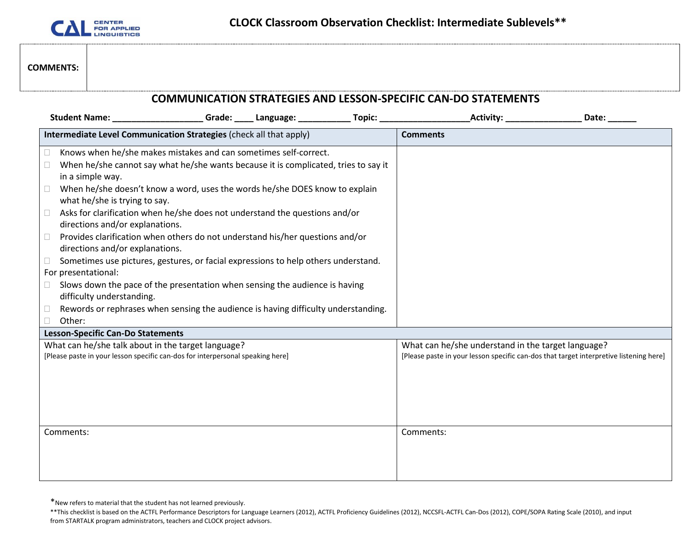

#### **COMMENTS:**

| <b>COMMUNICATION STRATEGIES AND LESSON-SPECIFIC CAN-DO STATEMENTS</b>                                                                                                                                                                                                                                                                                                                                                                                                                                                                                                                                                                                                                                                                                                                                                   |  |  |                                                                                                                                              |       |  |  |
|-------------------------------------------------------------------------------------------------------------------------------------------------------------------------------------------------------------------------------------------------------------------------------------------------------------------------------------------------------------------------------------------------------------------------------------------------------------------------------------------------------------------------------------------------------------------------------------------------------------------------------------------------------------------------------------------------------------------------------------------------------------------------------------------------------------------------|--|--|----------------------------------------------------------------------------------------------------------------------------------------------|-------|--|--|
|                                                                                                                                                                                                                                                                                                                                                                                                                                                                                                                                                                                                                                                                                                                                                                                                                         |  |  |                                                                                                                                              | Date: |  |  |
| Intermediate Level Communication Strategies (check all that apply)                                                                                                                                                                                                                                                                                                                                                                                                                                                                                                                                                                                                                                                                                                                                                      |  |  | <b>Comments</b>                                                                                                                              |       |  |  |
| Knows when he/she makes mistakes and can sometimes self-correct.<br>□<br>When he/she cannot say what he/she wants because it is complicated, tries to say it<br>$\Box$<br>in a simple way.<br>When he/she doesn't know a word, uses the words he/she DOES know to explain<br>□<br>what he/she is trying to say.<br>Asks for clarification when he/she does not understand the questions and/or<br>$\Box$<br>directions and/or explanations.<br>Provides clarification when others do not understand his/her questions and/or<br>$\Box$<br>directions and/or explanations.<br>Sometimes use pictures, gestures, or facial expressions to help others understand.<br>П<br>For presentational:<br>Slows down the pace of the presentation when sensing the audience is having<br>$\mathbb{R}$<br>difficulty understanding. |  |  |                                                                                                                                              |       |  |  |
| Rewords or rephrases when sensing the audience is having difficulty understanding.<br>□<br>Other:                                                                                                                                                                                                                                                                                                                                                                                                                                                                                                                                                                                                                                                                                                                       |  |  |                                                                                                                                              |       |  |  |
| <b>Lesson-Specific Can-Do Statements</b>                                                                                                                                                                                                                                                                                                                                                                                                                                                                                                                                                                                                                                                                                                                                                                                |  |  |                                                                                                                                              |       |  |  |
| What can he/she talk about in the target language?<br>[Please paste in your lesson specific can-dos for interpersonal speaking here]                                                                                                                                                                                                                                                                                                                                                                                                                                                                                                                                                                                                                                                                                    |  |  | What can he/she understand in the target language?<br>[Please paste in your lesson specific can-dos that target interpretive listening here] |       |  |  |
| Comments:                                                                                                                                                                                                                                                                                                                                                                                                                                                                                                                                                                                                                                                                                                                                                                                                               |  |  | Comments:                                                                                                                                    |       |  |  |

\*New refers to material that the student has not learned previously.

<sup>\*\*</sup>This checklist is based on the ACTFL Performance Descriptors for Language Learners (2012), ACTFL Proficiency Guidelines (2012), NCCSFL-ACTFL Can-Dos (2012), COPE/SOPA Rating Scale (2010), and input from STARTALK program administrators, teachers and CLOCK project advisors.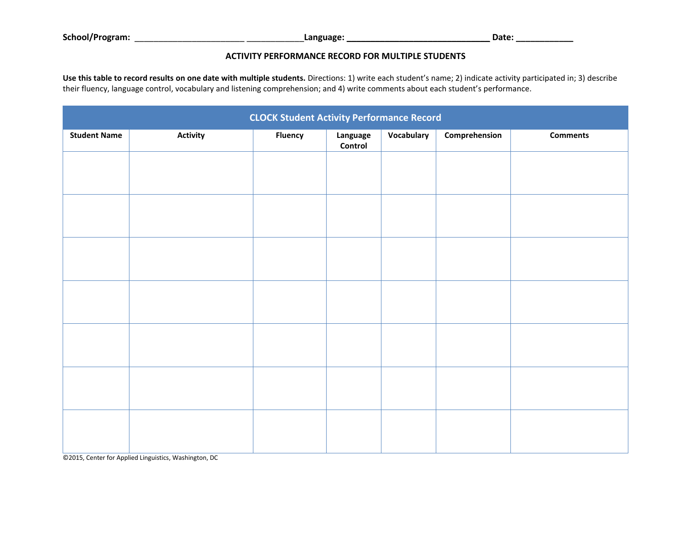**School/Program:** \_\_\_\_\_\_\_\_\_\_\_\_\_\_\_\_\_\_\_\_\_\_\_ \_\_\_\_\_\_\_\_\_\_\_\_**Language: \_\_\_\_\_\_\_\_\_\_\_\_\_\_\_\_\_\_\_\_\_\_\_\_\_\_\_\_\_\_ Date: \_\_\_\_\_\_\_\_\_\_\_\_**

#### **ACTIVITY PERFORMANCE RECORD FOR MULTIPLE STUDENTS**

**Use this table to record results on one date with multiple students.** Directions: 1) write each student's name; 2) indicate activity participated in; 3) describe their fluency, language control, vocabulary and listening comprehension; and 4) write comments about each student's performance.

| <b>CLOCK Student Activity Performance Record</b> |                 |                |                     |            |               |                 |  |
|--------------------------------------------------|-----------------|----------------|---------------------|------------|---------------|-----------------|--|
| <b>Student Name</b>                              | <b>Activity</b> | <b>Fluency</b> | Language<br>Control | Vocabulary | Comprehension | <b>Comments</b> |  |
|                                                  |                 |                |                     |            |               |                 |  |
|                                                  |                 |                |                     |            |               |                 |  |
|                                                  |                 |                |                     |            |               |                 |  |
|                                                  |                 |                |                     |            |               |                 |  |
|                                                  |                 |                |                     |            |               |                 |  |
|                                                  |                 |                |                     |            |               |                 |  |
|                                                  |                 |                |                     |            |               |                 |  |
|                                                  |                 |                |                     |            |               |                 |  |
|                                                  |                 |                |                     |            |               |                 |  |
|                                                  |                 |                |                     |            |               |                 |  |
|                                                  |                 |                |                     |            |               |                 |  |
|                                                  |                 |                |                     |            |               |                 |  |
|                                                  |                 |                |                     |            |               |                 |  |
|                                                  |                 |                |                     |            |               |                 |  |

©2015, Center for Applied Linguistics, Washington, DC